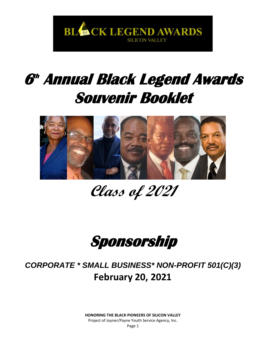

# **6 th Annual Black Legend Awards Souvenir Booklet**



# **Class of 2021**



*CORPORATE \* SMALL BUSINESS\* NON-PROFIT 501(C)(3)* **February 20, 2021**

> **HONORING THE BLACK PIONEERS OF SILICON VALLEY** Project of Joyner/Payne Youth Service Agency, Inc. Page 1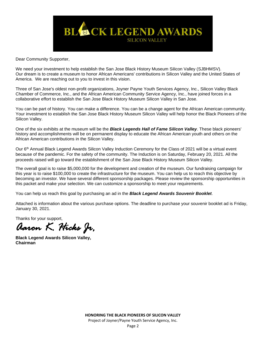

Dear Community Supporter,

We need your investment to help establish the San Jose Black History Museum Silicon Valley (SJBHMSV). Our dream is to create a museum to honor African Americans' contributions in Silicon Valley and the United States of America. We are reaching out to you to invest in this vision.

Three of San Jose's oldest non-profit organizations, Joyner Payne Youth Services Agency, Inc., Silicon Valley Black Chamber of Commerce, Inc., and the African American Community Service Agency, Inc., have joined forces in a collaborative effort to establish the San Jose Black History Museum Silicon Valley in San Jose.

You can be part of history. You can make a difference. You can be a change agent for the African American community. Your investment to establish the San Jose Black History Museum Silicon Valley will help honor the Black Pioneers of the Silicon Valley.

One of the six exhibits at the museum will be the *Black Legends Hall of Fame Silicon Valley*. These black pioneers' history and accomplishments will be on permanent display to educate the African American youth and others on the African American contributions in the Silicon Valley.

Our 6th Annual Black Legend Awards Silicon Valley Induction Ceremony for the Class of 2021 will be a virtual event because of the pandemic. For the safety of the community. The Induction is on Saturday, February 20, 2021. All the proceeds raised will go toward the establishment of the San Jose Black History Museum Silicon Valley.

The overall goal is to raise \$5,000,000 for the development and creation of the museum. Our fundraising campaign for this year is to raise \$100,000 to create the infrastructure for the museum. You can help us to reach this objective by becoming an investor. We have several different sponsorship packages. Please review the sponsorship opportunities in this packet and make your selection. We can customize a sponsorship to meet your requirements.

You can help us reach this goal by purchasing an ad in the *Black Legend Awards Souvenir Booklet*.

Attached is information about the various purchase options. The deadline to purchase your souvenir booklet ad is Friday, January 30, 2021.

Thanks for your support,

*Aaron K. Hicks Jr,* 

**Black Legend Awards Silicon Valley, Chairman**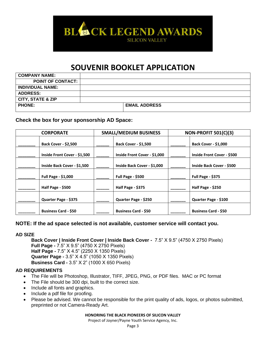

# **SOUVENIR BOOKLET APPLICATION**

| <b>COMPANY NAME:</b>         |                      |
|------------------------------|----------------------|
| <b>POINT OF CONTACT:</b>     |                      |
| <b>INDIVIDUAL NAME:</b>      |                      |
| <b>ADDRESS:</b>              |                      |
| <b>CITY, STATE &amp; ZIP</b> |                      |
| <b>PHONE:</b>                | <b>EMAIL ADDRESS</b> |
|                              |                      |

## **Check the box for your sponsorship AD Space:**

| <b>SMALL/MEDIUM BUSINESS</b><br><b>CORPORATE</b> |                              | NON-PROFIT 501(C)(3)              |
|--------------------------------------------------|------------------------------|-----------------------------------|
| <b>Back Cover - \$2,500</b>                      | <b>Back Cover - \$1,500</b>  | <b>Back Cover - \$1,000</b>       |
| Inside Front Cover - \$1,500                     | Inside Front Cover - \$1,000 | <b>Inside Front Cover - \$500</b> |
| Inside Back Cover - \$1,500                      | Inside Back Cover - \$1,000  | <b>Inside Back Cover - \$500</b>  |
| <b>Full Page - \$1,000</b>                       | Full Page - \$500            | Full Page - \$375                 |
| Half Page - \$500                                | Half Page - \$375            | Half Page - \$250                 |
| Quarter Page - \$375                             | Quarter Page - \$250         | Quarter Page - \$100              |
| <b>Business Card - \$50</b>                      | <b>Business Card - \$50</b>  | <b>Business Card - \$50</b>       |

### **NOTE: If the ad space selected is not available, customer service will contact you.**

#### **AD SIZE**

**Back Cover | Inside Front Cover | Inside Back Cover -** 7.5" X 9.5" (4750 X 2750 Pixels) **Full Page -** 7.5" X 9.5" (4750 X 2750 Pixels) **Half Page -** 7.5" X 4.5" (2250 X 1350 Pixels) **Quarter Page -** 3.5" X 4.5" (1050 X 1350 Pixels) **Business Card -** 3.5" X 2" (1000 X 650 Pixels)

#### **AD REQUIREMENTS**

- The File will be Photoshop, Illustrator, TIFF, JPEG, PNG, or PDF files. MAC or PC format
- The File should be 300 dpi, built to the correct size.
- Include all fonts and graphics.
- Include a pdf file for proofing.
- Please be advised. We cannot be responsible for the print quality of ads, logos, or photos submitted, preprinted or not Camera-Ready Art.

#### **HONORING THE BLACK PIONEERS OF SILICON VALLEY**

Project of Joyner/Payne Youth Service Agency, Inc.